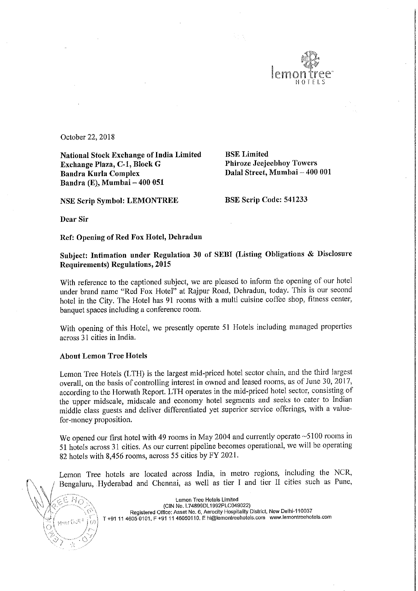

October 22, 2018

National Stock Exchange of India Limited<br>
Exchange Plaza, C-1, Block G<br>
Phiroze Jeejeebhoy Towers Exchange Plaza, C-1, Block G Bandra Kurla Complex Bandra (E), Mumbai - 400 051

Dalal Street, Mumbai - 400 001

NSE Scrip Symbol: LEMONTREE BSE Scrip Code: 541233

Dear Sir

EHA

New Dott<sup>4</sup>

Ref: Opening of Red Fox Hotel, Dehradun

Subject: Intimation under Regulation <sup>30</sup> of SEBI (Listing Obligations & Disclosure Requirements) Regulations, 2015

With reference to the captioned subject, we are pleased to inform the opening of our hotel under brand name "Red Fox Hotel" at Rajpur Road, Dehradun, today. This is our second hotel in the City. The Hotel has <sup>91</sup> rooms with <sup>a</sup> multi cuisine coffee shop, fitness center, banquet spaces including <sup>a</sup> conference room.

With opening of this Hotel, we presently operate <sup>51</sup> Hotels including managed properties across 31 cities in India.

## About Lemon Tree Hotels

Lemon Tree Hotels (LTH) is the largest mid-priced hotel sector chain, and the third largest overall, on the basis of controlling interest in owned and leased rooms, as of June 30, 2017, according to the Horwath Report. LTH operates in the mid-priced hotel sector, consisting of the upper midscale, midscale and economy hotel segments and seeks to cater to Indian middle class guests and deliver differentiated yet superior service offerings, with <sup>a</sup> valuefor—money proposition.

We opened our first hotel with 49 rooms in May 2004 and currently operate ~5100 rooms in <sup>51</sup> hotels across <sup>31</sup> cities. As our current pipeline becomes operational, we will be operating <sup>82</sup> hotels with 8,456 rooms, across <sup>55</sup> cities by FY 2021.

Lemon Tree hotels are located across India, in metro regions, including the NCR, Bengaluru, Hyderabad and Chennai, as well as tier I and tier <sup>11</sup> cities such as Pune,

> Lemon Tree Hotels Limited (ClN No. L74899DL1992PLCO49022) Registered Office: Asset No. 6, Aerocity Hospitality District, New Delhi-110037 T +91 <sup>11</sup> 4605 0101, <sup>F</sup> +91 <sup>11</sup> 45050110. <sup>E</sup> hi@lemontreehotels,com www.1ernontreehotels.com